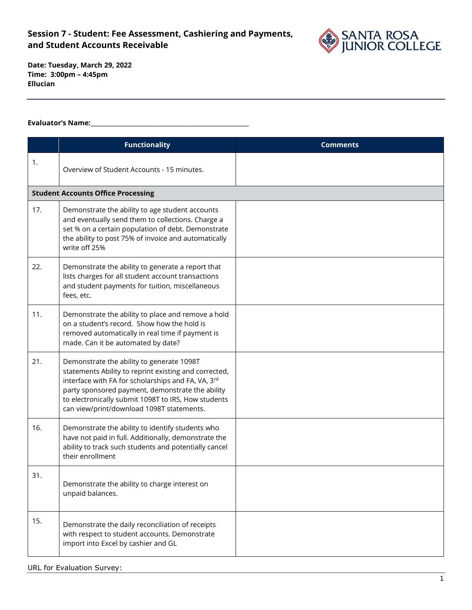

**Date: Tuesday, March 29, 2022 Time: 3:00pm – 4:45pm Ellucian**

#### **Evaluator's Name:\_\_\_\_\_\_\_\_\_\_\_\_\_\_\_\_\_\_\_\_\_\_\_\_\_\_\_\_\_\_\_\_\_\_\_\_\_\_\_\_\_\_\_\_\_\_\_\_\_\_\_\_\_\_**

|     | <b>Functionality</b>                                                                                                                                                                                                                                                                                             | <b>Comments</b> |
|-----|------------------------------------------------------------------------------------------------------------------------------------------------------------------------------------------------------------------------------------------------------------------------------------------------------------------|-----------------|
| 1.  | Overview of Student Accounts - 15 minutes.                                                                                                                                                                                                                                                                       |                 |
|     | <b>Student Accounts Office Processing</b>                                                                                                                                                                                                                                                                        |                 |
| 17. | Demonstrate the ability to age student accounts<br>and eventually send them to collections. Charge a<br>set % on a certain population of debt. Demonstrate<br>the ability to post 75% of invoice and automatically<br>write off 25%                                                                              |                 |
| 22. | Demonstrate the ability to generate a report that<br>lists charges for all student account transactions<br>and student payments for tuition, miscellaneous<br>fees, etc.                                                                                                                                         |                 |
| 11. | Demonstrate the ability to place and remove a hold<br>on a student's record. Show how the hold is<br>removed automatically in real time if payment is<br>made. Can it be automated by date?                                                                                                                      |                 |
| 21. | Demonstrate the ability to generate 1098T<br>statements Ability to reprint existing and corrected,<br>interface with FA for scholarships and FA, VA, 3rd<br>party sponsored payment, demonstrate the ability<br>to electronically submit 1098T to IRS, How students<br>can view/print/download 1098T statements. |                 |
| 16. | Demonstrate the ability to identify students who<br>have not paid in full. Additionally, demonstrate the<br>ability to track such students and potentially cancel<br>their enrollment                                                                                                                            |                 |
| 31. | Demonstrate the ability to charge interest on<br>unpaid balances.                                                                                                                                                                                                                                                |                 |
| 15. | Demonstrate the daily reconciliation of receipts<br>with respect to student accounts. Demonstrate<br>import into Excel by cashier and GL                                                                                                                                                                         |                 |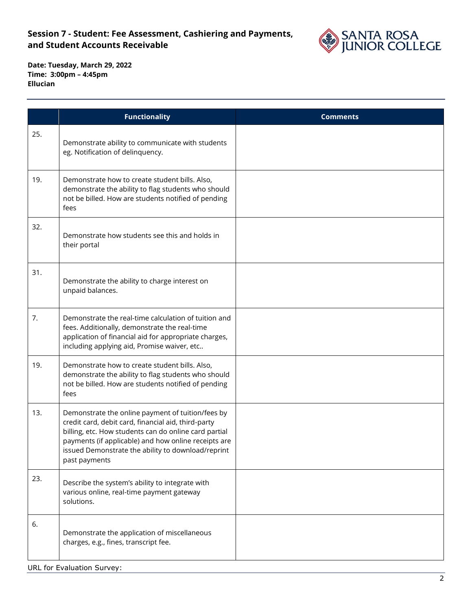

|     | <b>Functionality</b>                                                                                                                                                                                                                                                                             | <b>Comments</b> |
|-----|--------------------------------------------------------------------------------------------------------------------------------------------------------------------------------------------------------------------------------------------------------------------------------------------------|-----------------|
| 25. | Demonstrate ability to communicate with students<br>eg. Notification of delinquency.                                                                                                                                                                                                             |                 |
| 19. | Demonstrate how to create student bills. Also,<br>demonstrate the ability to flag students who should<br>not be billed. How are students notified of pending<br>fees                                                                                                                             |                 |
| 32. | Demonstrate how students see this and holds in<br>their portal                                                                                                                                                                                                                                   |                 |
| 31. | Demonstrate the ability to charge interest on<br>unpaid balances.                                                                                                                                                                                                                                |                 |
| 7.  | Demonstrate the real-time calculation of tuition and<br>fees. Additionally, demonstrate the real-time<br>application of financial aid for appropriate charges,<br>including applying aid, Promise waiver, etc                                                                                    |                 |
| 19. | Demonstrate how to create student bills. Also,<br>demonstrate the ability to flag students who should<br>not be billed. How are students notified of pending<br>fees                                                                                                                             |                 |
| 13. | Demonstrate the online payment of tuition/fees by<br>credit card, debit card, financial aid, third-party<br>billing, etc. How students can do online card partial<br>payments (if applicable) and how online receipts are<br>issued Demonstrate the ability to download/reprint<br>past payments |                 |
| 23. | Describe the system's ability to integrate with<br>various online, real-time payment gateway<br>solutions.                                                                                                                                                                                       |                 |
| 6.  | Demonstrate the application of miscellaneous<br>charges, e.g., fines, transcript fee.                                                                                                                                                                                                            |                 |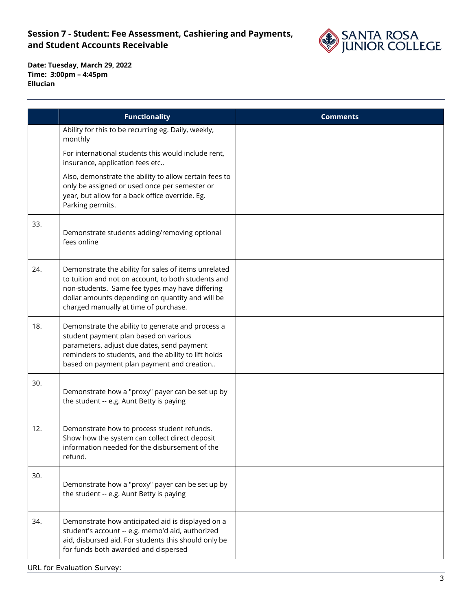

**Date: Tuesday, March 29, 2022 Time: 3:00pm – 4:45pm Ellucian**

|     | <b>Functionality</b>                                                                                                                                                                                                                                        | <b>Comments</b> |
|-----|-------------------------------------------------------------------------------------------------------------------------------------------------------------------------------------------------------------------------------------------------------------|-----------------|
|     | Ability for this to be recurring eg. Daily, weekly,<br>monthly                                                                                                                                                                                              |                 |
|     | For international students this would include rent,<br>insurance, application fees etc                                                                                                                                                                      |                 |
|     | Also, demonstrate the ability to allow certain fees to<br>only be assigned or used once per semester or<br>year, but allow for a back office override. Eg.<br>Parking permits.                                                                              |                 |
| 33. | Demonstrate students adding/removing optional<br>fees online                                                                                                                                                                                                |                 |
| 24. | Demonstrate the ability for sales of items unrelated<br>to tuition and not on account, to both students and<br>non-students. Same fee types may have differing<br>dollar amounts depending on quantity and will be<br>charged manually at time of purchase. |                 |
| 18. | Demonstrate the ability to generate and process a<br>student payment plan based on various<br>parameters, adjust due dates, send payment<br>reminders to students, and the ability to lift holds<br>based on payment plan payment and creation              |                 |
| 30. | Demonstrate how a "proxy" payer can be set up by<br>the student -- e.g. Aunt Betty is paying                                                                                                                                                                |                 |
| 12. | Demonstrate how to process student refunds.<br>Show how the system can collect direct deposit<br>information needed for the disbursement of the<br>refund.                                                                                                  |                 |
| 30. | Demonstrate how a "proxy" payer can be set up by<br>the student -- e.g. Aunt Betty is paying                                                                                                                                                                |                 |
| 34. | Demonstrate how anticipated aid is displayed on a<br>student's account -- e.g. memo'd aid, authorized<br>aid, disbursed aid. For students this should only be<br>for funds both awarded and dispersed                                                       |                 |

URL for Evaluation Survey: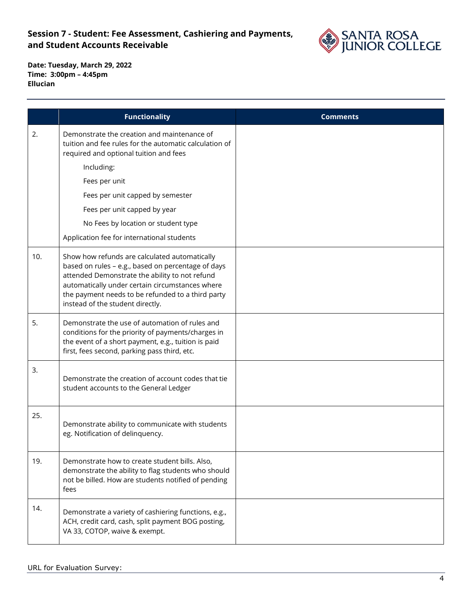

|     | <b>Functionality</b>                                                                                                                                                                                                                                                                              | <b>Comments</b> |
|-----|---------------------------------------------------------------------------------------------------------------------------------------------------------------------------------------------------------------------------------------------------------------------------------------------------|-----------------|
| 2.  | Demonstrate the creation and maintenance of<br>tuition and fee rules for the automatic calculation of<br>required and optional tuition and fees                                                                                                                                                   |                 |
|     | Including:                                                                                                                                                                                                                                                                                        |                 |
|     | Fees per unit                                                                                                                                                                                                                                                                                     |                 |
|     | Fees per unit capped by semester                                                                                                                                                                                                                                                                  |                 |
|     | Fees per unit capped by year                                                                                                                                                                                                                                                                      |                 |
|     | No Fees by location or student type                                                                                                                                                                                                                                                               |                 |
|     | Application fee for international students                                                                                                                                                                                                                                                        |                 |
| 10. | Show how refunds are calculated automatically<br>based on rules - e.g., based on percentage of days<br>attended Demonstrate the ability to not refund<br>automatically under certain circumstances where<br>the payment needs to be refunded to a third party<br>instead of the student directly. |                 |
| 5.  | Demonstrate the use of automation of rules and<br>conditions for the priority of payments/charges in<br>the event of a short payment, e.g., tuition is paid<br>first, fees second, parking pass third, etc.                                                                                       |                 |
| 3.  | Demonstrate the creation of account codes that tie<br>student accounts to the General Ledger                                                                                                                                                                                                      |                 |
| 25. | Demonstrate ability to communicate with students<br>eg. Notification of delinquency.                                                                                                                                                                                                              |                 |
| 19. | Demonstrate how to create student bills. Also,<br>demonstrate the ability to flag students who should<br>not be billed. How are students notified of pending<br>fees                                                                                                                              |                 |
| 14. | Demonstrate a variety of cashiering functions, e.g.,<br>ACH, credit card, cash, split payment BOG posting,<br>VA 33, COTOP, waive & exempt.                                                                                                                                                       |                 |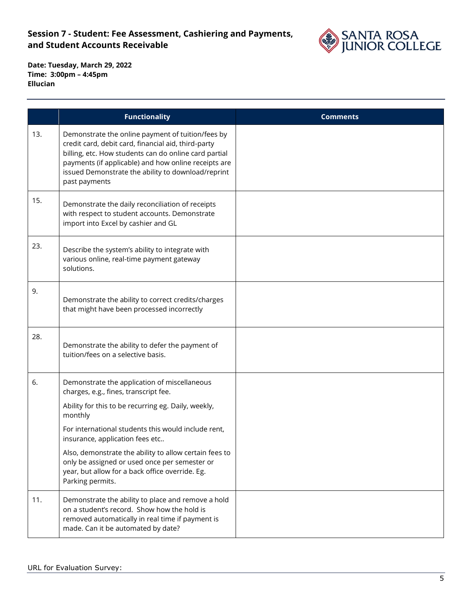

|     | <b>Functionality</b>                                                                                                                                                                                                                                                                                                                                                                                                                | <b>Comments</b> |
|-----|-------------------------------------------------------------------------------------------------------------------------------------------------------------------------------------------------------------------------------------------------------------------------------------------------------------------------------------------------------------------------------------------------------------------------------------|-----------------|
| 13. | Demonstrate the online payment of tuition/fees by<br>credit card, debit card, financial aid, third-party<br>billing, etc. How students can do online card partial<br>payments (if applicable) and how online receipts are<br>issued Demonstrate the ability to download/reprint<br>past payments                                                                                                                                    |                 |
| 15. | Demonstrate the daily reconciliation of receipts<br>with respect to student accounts. Demonstrate<br>import into Excel by cashier and GL                                                                                                                                                                                                                                                                                            |                 |
| 23. | Describe the system's ability to integrate with<br>various online, real-time payment gateway<br>solutions.                                                                                                                                                                                                                                                                                                                          |                 |
| 9.  | Demonstrate the ability to correct credits/charges<br>that might have been processed incorrectly                                                                                                                                                                                                                                                                                                                                    |                 |
| 28. | Demonstrate the ability to defer the payment of<br>tuition/fees on a selective basis.                                                                                                                                                                                                                                                                                                                                               |                 |
| 6.  | Demonstrate the application of miscellaneous<br>charges, e.g., fines, transcript fee.<br>Ability for this to be recurring eg. Daily, weekly,<br>monthly<br>For international students this would include rent,<br>insurance, application fees etc<br>Also, demonstrate the ability to allow certain fees to<br>only be assigned or used once per semester or<br>year, but allow for a back office override. Eg.<br>Parking permits. |                 |
| 11. | Demonstrate the ability to place and remove a hold<br>on a student's record. Show how the hold is<br>removed automatically in real time if payment is<br>made. Can it be automated by date?                                                                                                                                                                                                                                         |                 |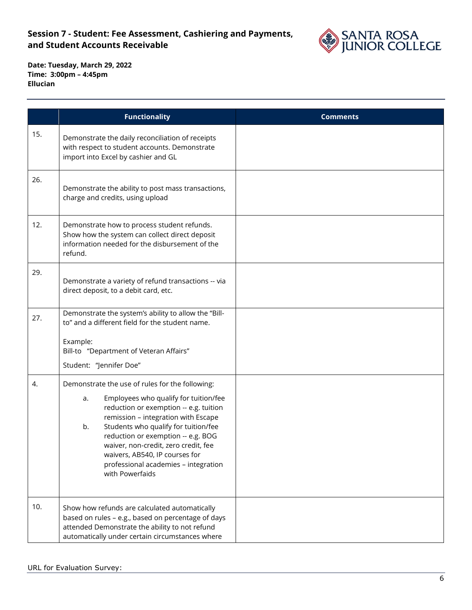

|     | <b>Functionality</b>                                                                                                                                                                                                                                                                                                                                                                                     | <b>Comments</b> |
|-----|----------------------------------------------------------------------------------------------------------------------------------------------------------------------------------------------------------------------------------------------------------------------------------------------------------------------------------------------------------------------------------------------------------|-----------------|
| 15. | Demonstrate the daily reconciliation of receipts<br>with respect to student accounts. Demonstrate<br>import into Excel by cashier and GL                                                                                                                                                                                                                                                                 |                 |
| 26. | Demonstrate the ability to post mass transactions,<br>charge and credits, using upload                                                                                                                                                                                                                                                                                                                   |                 |
| 12. | Demonstrate how to process student refunds.<br>Show how the system can collect direct deposit<br>information needed for the disbursement of the<br>refund.                                                                                                                                                                                                                                               |                 |
| 29. | Demonstrate a variety of refund transactions -- via<br>direct deposit, to a debit card, etc.                                                                                                                                                                                                                                                                                                             |                 |
| 27. | Demonstrate the system's ability to allow the "Bill-<br>to" and a different field for the student name.<br>Example:<br>Bill-to "Department of Veteran Affairs"<br>Student: "Jennifer Doe"                                                                                                                                                                                                                |                 |
| 4.  | Demonstrate the use of rules for the following:<br>Employees who qualify for tuition/fee<br>a.<br>reduction or exemption -- e.g. tuition<br>remission - integration with Escape<br>Students who qualify for tuition/fee<br>b.<br>reduction or exemption -- e.g. BOG<br>waiver, non-credit, zero credit, fee<br>waivers, AB540, IP courses for<br>professional academies - integration<br>with Powerfaids |                 |
| 10. | Show how refunds are calculated automatically<br>based on rules - e.g., based on percentage of days<br>attended Demonstrate the ability to not refund<br>automatically under certain circumstances where                                                                                                                                                                                                 |                 |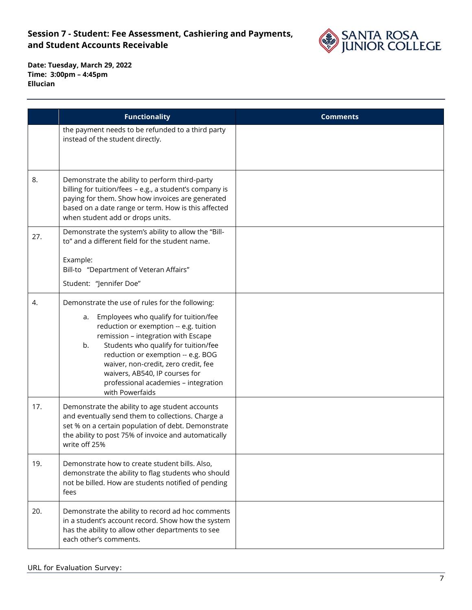

|     | <b>Functionality</b>                                                                                                                                                                                                                                                                                                                                                                                     | <b>Comments</b> |
|-----|----------------------------------------------------------------------------------------------------------------------------------------------------------------------------------------------------------------------------------------------------------------------------------------------------------------------------------------------------------------------------------------------------------|-----------------|
|     | the payment needs to be refunded to a third party<br>instead of the student directly.                                                                                                                                                                                                                                                                                                                    |                 |
| 8.  | Demonstrate the ability to perform third-party<br>billing for tuition/fees - e.g., a student's company is<br>paying for them. Show how invoices are generated<br>based on a date range or term. How is this affected<br>when student add or drops units.                                                                                                                                                 |                 |
| 27. | Demonstrate the system's ability to allow the "Bill-<br>to" and a different field for the student name.<br>Example:<br>Bill-to "Department of Veteran Affairs"<br>Student: "Jennifer Doe"                                                                                                                                                                                                                |                 |
|     |                                                                                                                                                                                                                                                                                                                                                                                                          |                 |
| 4.  | Demonstrate the use of rules for the following:<br>Employees who qualify for tuition/fee<br>a.<br>reduction or exemption -- e.g. tuition<br>remission - integration with Escape<br>Students who qualify for tuition/fee<br>b.<br>reduction or exemption -- e.g. BOG<br>waiver, non-credit, zero credit, fee<br>waivers, AB540, IP courses for<br>professional academies - integration<br>with Powerfaids |                 |
| 17. | Demonstrate the ability to age student accounts<br>and eventually send them to collections. Charge a<br>set % on a certain population of debt. Demonstrate<br>the ability to post 75% of invoice and automatically<br>write off 25%                                                                                                                                                                      |                 |
| 19. | Demonstrate how to create student bills. Also,<br>demonstrate the ability to flag students who should<br>not be billed. How are students notified of pending<br>fees                                                                                                                                                                                                                                     |                 |
| 20. | Demonstrate the ability to record ad hoc comments<br>in a student's account record. Show how the system<br>has the ability to allow other departments to see<br>each other's comments.                                                                                                                                                                                                                   |                 |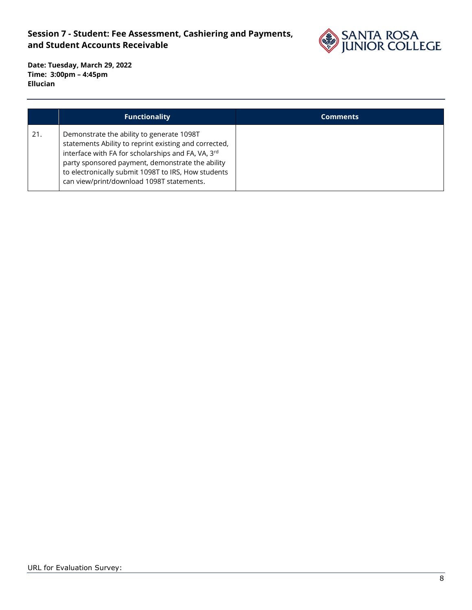

|     | <b>Functionality</b>                                                                                                                                                                                                                                                                                             | <b>Comments</b> |
|-----|------------------------------------------------------------------------------------------------------------------------------------------------------------------------------------------------------------------------------------------------------------------------------------------------------------------|-----------------|
| 21. | Demonstrate the ability to generate 1098T<br>statements Ability to reprint existing and corrected,<br>interface with FA for scholarships and FA, VA, 3rd<br>party sponsored payment, demonstrate the ability<br>to electronically submit 1098T to IRS, How students<br>can view/print/download 1098T statements. |                 |